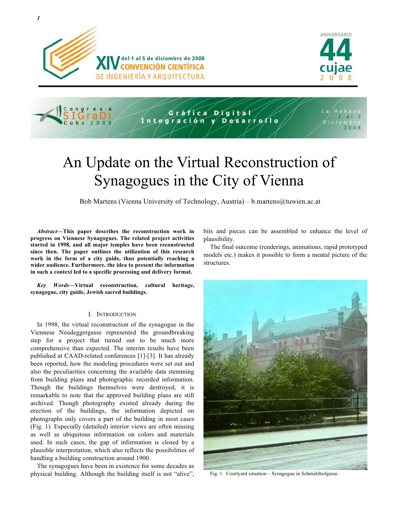





# An Update on the Virtual Reconstruction of Synagogues in the City of Vienna

Bob Martens (Vienna University of Technology, Austria) – b.martens@tuwien.ac.at

*Abstract***—This paper describes the reconstruction work in progress on Viennese Synagogues. The related project activities started in 1998, and all major temples have been reconstructed since then. The paper outlines the utilization of this research work in the form of a city guide, thus potentially reaching a wider audience. Furthermore, the idea to present the information in such a context led to a specific processing and delivery format.** 

*Key Words***—Virtual reconstruction, cultural heritage, synagogue, city guide, Jewish sacred buildings.** 

## I. INTRODUCTION

In 1998, the virtual reconstruction of the synagogue in the Viennese Neudeggergasse represented the groundbreaking step for a project that turned out to be much more comprehensive than expected. The interim results have been published at CAAD-related conferences [1]-[3]. It has already been reported, how the modeling procedures were set out and also the peculiarities concerning the available data stemming from building plans and photographic recorded information. Though the buildings themselves were destroyed, it is remarkable to note that the approved building plans are still archived. Though photography existed already during the erection of the buildings, the information depicted on photographs only covers a part of the building in most cases (Fig. 1). Especially (detailed) interior views are often missing as well as ubiquitous information on colors and materials used. In such cases, the gap of information is closed by a plausible interpretation, which also reflects the possibilities of handling a building construction around 1900.

The synagogues have been in existence for some decades as physical building. Although the building itself is not "alive", bits and pieces can be assembled to enhance the level of plausibility.

The final outcome (renderings, animations, rapid prototyped models etc.) makes it possible to form a mental picture of the structures.



Fig. 1. Courtyard situation – Synagogue in Schmalzhofgasse.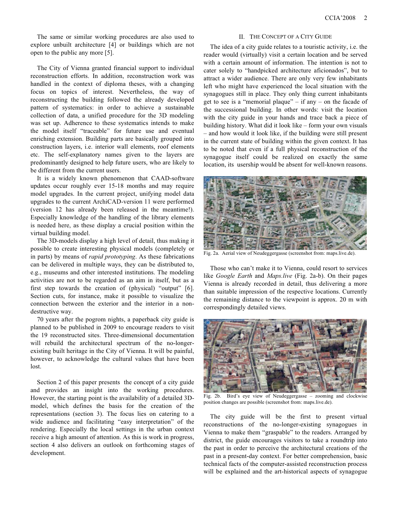The same or similar working procedures are also used to explore unbuilt architecture [4] or buildings which are not open to the public any more [5].

The City of Vienna granted financial support to individual reconstruction efforts. In addition, reconstruction work was handled in the context of diploma theses, with a changing focus on topics of interest. Nevertheless, the way of reconstructing the building followed the already developed pattern of systematics: in order to achieve a sustainable collection of data, a unified procedure for the 3D modeling was set up. Adherence to these systematics intends to make the model itself "traceable" for future use and eventual enriching extension. Building parts are basically grouped into construction layers, i.e. interior wall elements, roof elements etc. The self-explanatory names given to the layers are predominantly designed to help future users, who are likely to be different from the current users.

It is a widely known phenomenon that CAAD-software updates occur roughly ever 15-18 months and may require model upgrades. In the current project, unifying model data upgrades to the current ArchiCAD-version 11 were performed (version 12 has already been released in the meantime!). Especially knowledge of the handling of the library elements is needed here, as these display a crucial position within the virtual building model.

The 3D-models display a high level of detail, thus making it possible to create interesting physical models (completely or in parts) by means of *rapid prototyping*. As these fabrications can be delivered in multiple ways, they can be distributed to, e.g., museums and other interested institutions. The modeling activities are not to be regarded as an aim in itself, but as a first step towards the creation of (physical) "output" [6]. Section cuts, for instance, make it possible to visualize the connection between the exterior and the interior in a nondestructive way.

70 years after the pogrom nights, a paperback city guide is planned to be published in 2009 to encourage readers to visit the 19 reconstructed sites. Three-dimensional documentation will rebuild the architectural spectrum of the no-longerexisting built heritage in the City of Vienna. It will be painful, however, to acknowledge the cultural values that have been lost.

Section 2 of this paper presents the concept of a city guide and provides an insight into the working procedures. However, the starting point is the availability of a detailed 3Dmodel, which defines the basis for the creation of the representations (section 3). The focus lies on catering to a wide audience and facilitating "easy interpretation" of the rendering. Especially the local settings in the urban context receive a high amount of attention. As this is work in progress, section 4 also delivers an outlook on forthcoming stages of development.

## II. THE CONCEPT OF A CITY GUIDE

The idea of a city guide relates to a touristic activity, i.e. the reader would (virtually) visit a certain location and be served with a certain amount of information. The intention is not to cater solely to "handpicked architecture aficionados", but to attract a wider audience. There are only very few inhabitants left who might have experienced the local situation with the synagogues still in place. They only thing current inhabitants get to see is a "memorial plaque" – if any – on the facade of the successional building. In other words: visit the location with the city guide in your hands and trace back a piece of building history. What did it look like – form your own visuals – and how would it look like, if the building were still present in the current state of building within the given context. It has to be noted that even if a full physical reconstruction of the synagogue itself could be realized on exactly the same location, its usership would be absent for well-known reasons.



Fig. 2a. Aerial view of Neudeggergasse (screenshot from: maps.live.de).

Those who can't make it to Vienna, could resort to services like *Google Earth* and *Maps.live* (Fig. 2a-b). On their pages Vienna is already recorded in detail, thus delivering a more than suitable impression of the respective locations. Currently the remaining distance to the viewpoint is approx. 20 m with correspondingly detailed views.



Fig. 2b. Bird's eye view of Neudeggergasse – zooming and clockwise position changes are possible (screenshot from: maps.live.de).

The city guide will be the first to present virtual reconstructions of the no-longer-existing synagogues in Vienna to make them "graspable" to the readers. Arranged by district, the guide encourages visitors to take a roundtrip into the past in order to perceive the architectural creations of the past in a present-day context. For better comprehension, basic technical facts of the computer-assisted reconstruction process will be explained and the art-historical aspects of synagogue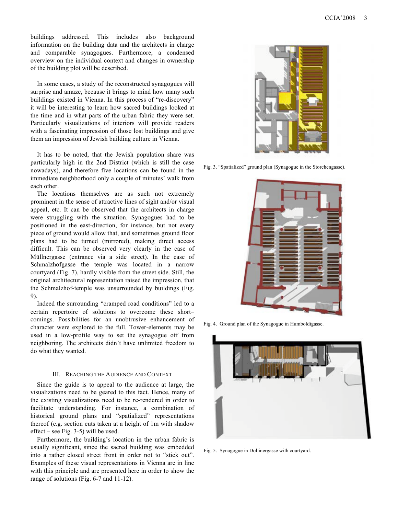buildings addressed. This includes also background information on the building data and the architects in charge and comparable synagogues. Furthermore, a condensed overview on the individual context and changes in ownership of the building plot will be described.

In some cases, a study of the reconstructed synagogues will surprise and amaze, because it brings to mind how many such buildings existed in Vienna. In this process of "re-discovery" it will be interesting to learn how sacred buildings looked at the time and in what parts of the urban fabric they were set. Particularly visualizations of interiors will provide readers with a fascinating impression of those lost buildings and give them an impression of Jewish building culture in Vienna.

It has to be noted, that the Jewish population share was particularly high in the 2nd District (which is still the case nowadays), and therefore five locations can be found in the immediate neighborhood only a couple of minutes' walk from each other.

The locations themselves are as such not extremely prominent in the sense of attractive lines of sight and/or visual appeal, etc. It can be observed that the architects in charge were struggling with the situation. Synagogues had to be positioned in the east-direction, for instance, but not every piece of ground would allow that, and sometimes ground floor plans had to be turned (mirrored), making direct access difficult. This can be observed very clearly in the case of Müllnergasse (entrance via a side street). In the case of Schmalzhofgasse the temple was located in a narrow courtyard (Fig. 7), hardly visible from the street side. Still, the original architectural representation raised the impression, that the Schmalzhof-temple was unsurrounded by buildings (Fig. 9).

Indeed the surrounding "cramped road conditions" led to a certain repertoire of solutions to overcome these short– comings. Possibilities for an unobtrusive enhancement of character were explored to the full. Tower-elements may be used in a low-profile way to set the synagogue off from neighboring. The architects didn't have unlimited freedom to do what they wanted.

#### III. REACHING THE AUDIENCE AND CONTEXT

Since the guide is to appeal to the audience at large, the visualizations need to be geared to this fact. Hence, many of the existing visualizations need to be re-rendered in order to facilitate understanding. For instance, a combination of historical ground plans and "spatialized" representations thereof (e.g. section cuts taken at a height of 1m with shadow effect – see Fig. 3-5) will be used.

Furthermore, the building's location in the urban fabric is usually significant, since the sacred building was embedded into a rather closed street front in order not to "stick out". Examples of these visual representations in Vienna are in line with this principle and are presented here in order to show the range of solutions (Fig. 6-7 and 11-12).



Fig. 3. "Spatialized" ground plan (Synagogue in the Storchengasse).



Fig. 4. Ground plan of the Synagogue in Humboldtgasse.



Fig. 5. Synagogue in Dollinergasse with courtyard.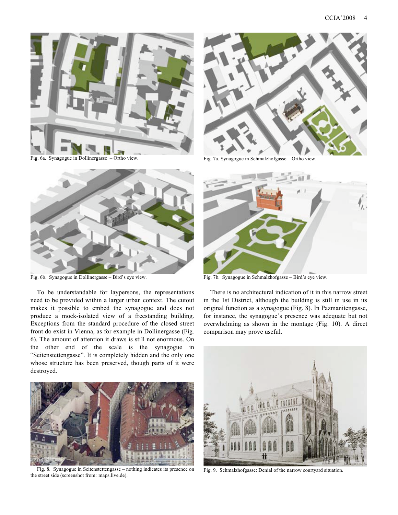

Fig. 6a. Synagogue in Dollinergasse – Ortho view.



Fig. 7a. Synagogue in Schmalzhofgasse – Ortho view.



Fig. 6b. Synagogue in Dollinergasse – Bird's eye view.

To be understandable for laypersons, the representations need to be provided within a larger urban context. The cutout makes it possible to embed the synagogue and does not produce a mock-isolated view of a freestanding building. Exceptions from the standard procedure of the closed street front do exist in Vienna, as for example in Dollinergasse (Fig. 6). The amount of attention it draws is still not enormous. On the other end of the scale is the synagogue in "Seitenstettengasse". It is completely hidden and the only one whose structure has been preserved, though parts of it were destroyed.



Fig. 8. Synagogue in Seitenstettengasse – nothing indicates its presence on the street side (screenshot from: maps.live.de).



Fig. 7b. Synagogue in Schmalzhofgasse – Bird's eye view.

There is no architectural indication of it in this narrow street in the 1st District, although the building is still in use in its original function as a synagogue (Fig. 8). In Pazmanitengasse, for instance, the synagogue's presence was adequate but not overwhelming as shown in the montage (Fig. 10). A direct comparison may prove useful.



Fig. 9. Schmalzhofgasse: Denial of the narrow courtyard situation.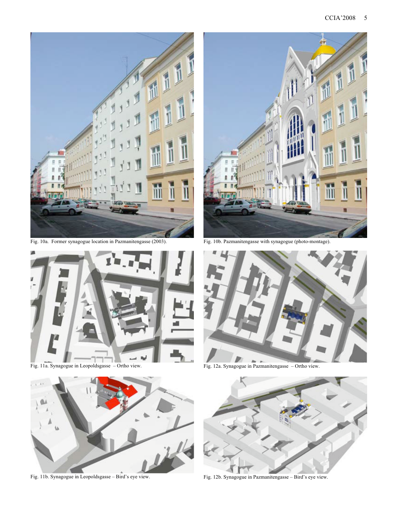

Fig. 10a. Former synagogue location in Pazmanitengasse (2003).



Fig. 11a. Synagogue in Leopoldsgasse – Ortho view.



Fig. 11b. Synagogue in Leopoldsgasse – Bird's eye view.



Fig. 10b. Pazmanitengasse with synagogue (photo-montage).





Fig. 12b. Synagogue in Pazmanitengasse – Bird's eye view.